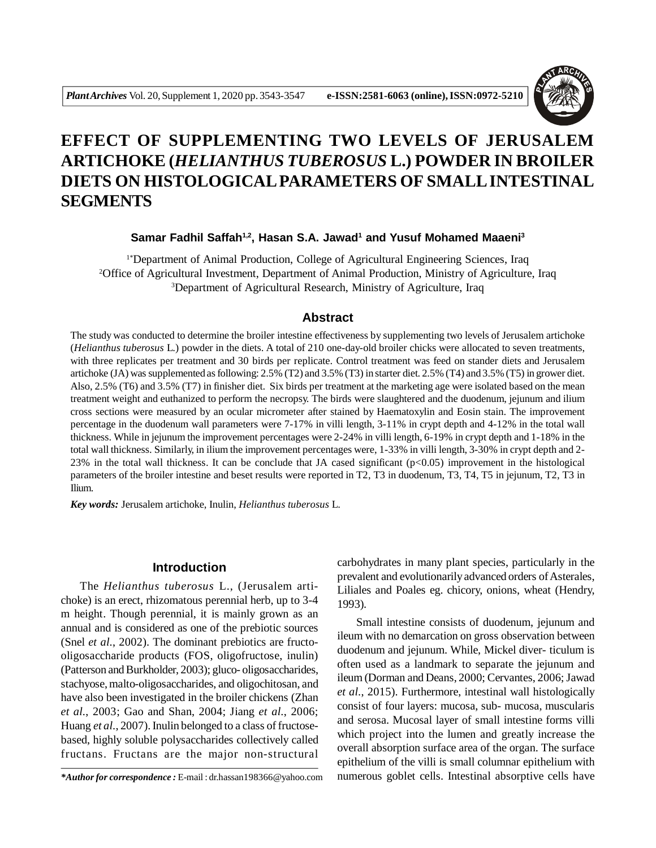

# **EFFECT OF SUPPLEMENTING TWO LEVELS OF JERUSALEM ARTICHOKE (***HELIANTHUS TUBEROSUS* **L.) POWDER IN BROILER DIETS ON HISTOLOGICAL PARAMETERS OF SMALL INTESTINAL SEGMENTS**

# **Samar Fadhil Saffah1,2, Hasan S.A. Jawad<sup>1</sup> and Yusuf Mohamed Maaeni<sup>3</sup>**

1\*Department of Animal Production, College of Agricultural Engineering Sciences, Iraq <sup>2</sup>Office of Agricultural Investment, Department of Animal Production, Ministry of Agriculture, Iraq <sup>3</sup>Department of Agricultural Research, Ministry of Agriculture, Iraq

# **Abstract**

The study was conducted to determine the broiler intestine effectiveness by supplementing two levels of Jerusalem artichoke (*Helianthus tuberosus* L.) powder in the diets. A total of 210 one-day-old broiler chicks were allocated to seven treatments, with three replicates per treatment and 30 birds per replicate. Control treatment was feed on stander diets and Jerusalem artichoke (JA) was supplemented as following: 2.5% (T2) and 3.5% (T3) in starter diet. 2.5% (T4) and 3.5% (T5) in grower diet. Also, 2.5% (T6) and 3.5% (T7) in finisher diet. Six birds per treatment at the marketing age were isolated based on the mean treatment weight and euthanized to perform the necropsy. The birds were slaughtered and the duodenum, jejunum and ilium cross sections were measured by an ocular micrometer after stained by Haematoxylin and Eosin stain. The improvement percentage in the duodenum wall parameters were 7-17% in villi length, 3-11% in crypt depth and 4-12% in the total wall thickness. While in jejunum the improvement percentages were 2-24% in villi length, 6-19% in crypt depth and 1-18% in the total wall thickness. Similarly, in ilium the improvement percentages were, 1-33% in villi length, 3-30% in crypt depth and 2- 23% in the total wall thickness. It can be conclude that JA cased significant  $(p<0.05)$  improvement in the histological parameters of the broiler intestine and beset results were reported in T2, T3 in duodenum, T3, T4, T5 in jejunum, T2, T3 in Ilium.

*Key words:* Jerusalem artichoke, Inulin, *Helianthus tuberosus* L.

## **Introduction**

The *Helianthus tuberosus* L., (Jerusalem artichoke) is an erect, rhizomatous perennial herb, up to 3-4 m height. Though perennial, it is mainly grown as an annual and is considered as one of the prebiotic sources (Snel *et al.*, 2002). The dominant prebiotics are fructooligosaccharide products (FOS, oligofructose, inulin) (Patterson and Burkholder, 2003); gluco- oligosaccharides, stachyose, malto-oligosaccharides, and oligochitosan, and have also been investigated in the broiler chickens (Zhan *et al.*, 2003; Gao and Shan, 2004; Jiang *et al.*, 2006; Huang *et al.*, 2007). Inulin belonged to a class of fructosebased, highly soluble polysaccharides collectively called fructans. Fructans are the major non-structural

carbohydrates in many plant species, particularly in the prevalent and evolutionarily advanced orders of Asterales, Liliales and Poales eg. chicory, onions, wheat (Hendry, 1993).

Small intestine consists of duodenum, jejunum and ileum with no demarcation on gross observation between duodenum and jejunum. While, Mickel diver- ticulum is often used as a landmark to separate the jejunum and ileum (Dorman and Deans, 2000; Cervantes, 2006; Jawad *et al.*, 2015). Furthermore, intestinal wall histologically consist of four layers: mucosa, sub- mucosa, muscularis and serosa. Mucosal layer of small intestine forms villi which project into the lumen and greatly increase the overall absorption surface area of the organ. The surface epithelium of the villi is small columnar epithelium with *\*Author for correspondence :* E-mail : dr.hassan198366@yahoo.com numerous goblet cells. Intestinal absorptive cells have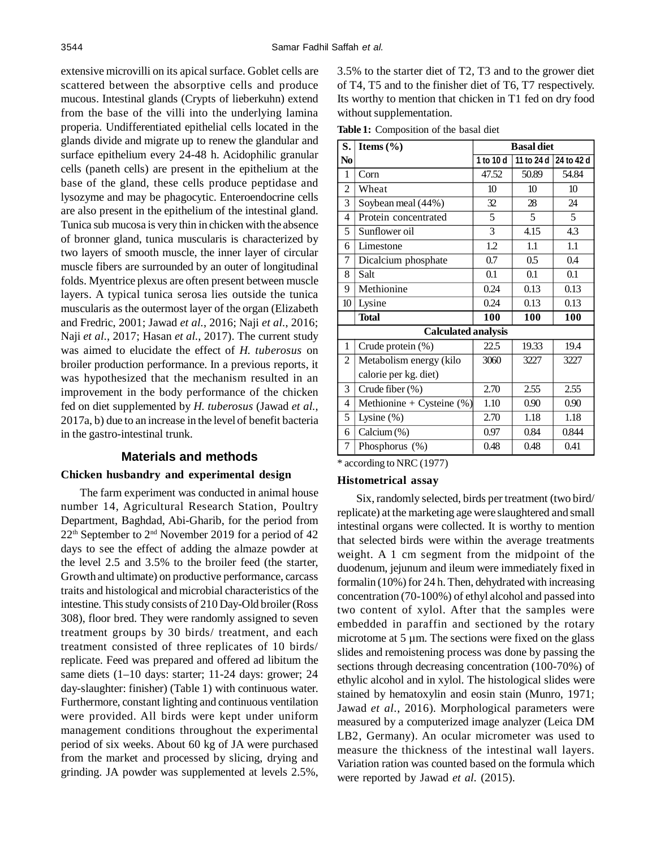extensive microvilli on its apical surface. Goblet cells are scattered between the absorptive cells and produce mucous. Intestinal glands (Crypts of lieberkuhn) extend from the base of the villi into the underlying lamina properia. Undifferentiated epithelial cells located in the glands divide and migrate up to renew the glandular and surface epithelium every 24-48 h. Acidophilic granular cells (paneth cells) are present in the epithelium at the base of the gland, these cells produce peptidase and lysozyme and may be phagocytic. Enteroendocrine cells are also present in the epithelium of the intestinal gland. Tunica sub mucosa is very thin in chicken with the absence of bronner gland, tunica muscularis is characterized by two layers of smooth muscle, the inner layer of circular muscle fibers are surrounded by an outer of longitudinal folds. Myentrice plexus are often present between muscle layers. A typical tunica serosa lies outside the tunica muscularis as the outermost layer of the organ (Elizabeth and Fredric, 2001; Jawad *et al.*, 2016; Naji *et al.*, 2016; Naji *et al.*, 2017; Hasan *et al.*, 2017). The current study was aimed to elucidate the effect of *H. tuberosus* on broiler production performance. In a previous reports, it was hypothesized that the mechanism resulted in an improvement in the body performance of the chicken fed on diet supplemented by *H. tuberosus* (Jawad *et al.*, 2017a, b) due to an increase in the level of benefit bacteria in the gastro-intestinal trunk.

## **Materials and methods**

#### **Chicken husbandry and experimental design**

The farm experiment was conducted in animal house number 14, Agricultural Research Station, Poultry Department, Baghdad, Abi-Gharib, for the period from  $22<sup>th</sup>$  September to  $2<sup>nd</sup>$  November 2019 for a period of 42 days to see the effect of adding the almaze powder at the level 2.5 and 3.5% to the broiler feed (the starter, Growth and ultimate) on productive performance, carcass traits and histological and microbial characteristics of the intestine. This study consists of 210 Day-Old broiler (Ross 308), floor bred. They were randomly assigned to seven treatment groups by 30 birds/ treatment, and each treatment consisted of three replicates of 10 birds/ replicate. Feed was prepared and offered ad libitum the same diets (1–10 days: starter; 11-24 days: grower; 24 day-slaughter: finisher) (Table 1) with continuous water. Furthermore, constant lighting and continuous ventilation were provided. All birds were kept under uniform management conditions throughout the experimental period of six weeks. About 60 kg of JA were purchased from the market and processed by slicing, drying and grinding. JA powder was supplemented at levels 2.5%,

3.5% to the starter diet of T2, T3 and to the grower diet of T4, T5 and to the finisher diet of T6, T7 respectively. Its worthy to mention that chicken in T1 fed on dry food without supplementation.

**Table 1:** Composition of the basal diet

| S.             | Items $(\% )$                | <b>Basal diet</b> |                  |                  |  |  |
|----------------|------------------------------|-------------------|------------------|------------------|--|--|
| N <sub>0</sub> |                              | 1 to 10 d         | 11 to 24 d       | 24 to 42 d       |  |  |
| 1              | Corn                         | 47.52             | 50.89            | 54.84            |  |  |
| 2              | Wheat                        | 10                | 10 <sup>10</sup> | 10 <sup>10</sup> |  |  |
| 3              | Soybean meal (44%)           | 32                | 28               | 24               |  |  |
| $\overline{4}$ | Protein concentrated         | 5                 | 5                | 5                |  |  |
| 5              | Sunflower oil                | 3                 | 4.15             | 4.3              |  |  |
| 6              | Limestone                    | 1.2               | 1.1              | 1.1              |  |  |
| 7              | Dicalcium phosphate          | 0.7               | 0.5              | 0.4              |  |  |
| 8              | Salt                         | 0.1               | 0.1              | 0.1              |  |  |
| 9              | Methionine                   | 0.24              | 0.13             | 0.13             |  |  |
| 10             | Lysine                       | 0.24              | 0.13             | 0.13             |  |  |
|                | <b>Total</b>                 | 100               | 100              | 100              |  |  |
|                | <b>Calculated analysis</b>   |                   |                  |                  |  |  |
| 1              | Crude protein (%)            | 22.5              | 19.33            | 19.4             |  |  |
| $\overline{c}$ | Metabolism energy (kilo      | 3060              | 3227             | 3227             |  |  |
|                | calorie per kg. diet)        |                   |                  |                  |  |  |
| 3              | Crude fiber (%)              | 2.70              | 2.55             | 2.55             |  |  |
| 4              | Methionine + Cysteine $(\%)$ | 1.10              | 0.90             | 0.90             |  |  |
| 5              | Lysine $(\%)$                | 2.70              | 1.18             | 1.18             |  |  |
| 6              | Calcium (%)                  | 0.97              | 0.84             | 0.844            |  |  |
| 7              | Phosphorus (%)               | 0.48              | 0.48             | 0.41             |  |  |

\* according to NRC (1977)

#### **Histometrical assay**

Six, randomly selected, birds per treatment (two bird/ replicate) at the marketing age were slaughtered and small intestinal organs were collected. It is worthy to mention that selected birds were within the average treatments weight. A 1 cm segment from the midpoint of the duodenum, jejunum and ileum were immediately fixed in formalin (10%) for 24 h. Then, dehydrated with increasing concentration (70-100%) of ethyl alcohol and passed into two content of xylol. After that the samples were embedded in paraffin and sectioned by the rotary microtome at 5 µm. The sections were fixed on the glass slides and remoistening process was done by passing the sections through decreasing concentration (100-70%) of ethylic alcohol and in xylol. The histological slides were stained by hematoxylin and eosin stain (Munro, 1971; Jawad *et al.*, 2016). Morphological parameters were measured by a computerized image analyzer (Leica DM LB2, Germany). An ocular micrometer was used to measure the thickness of the intestinal wall layers. Variation ration was counted based on the formula which were reported by Jawad *et al.* (2015).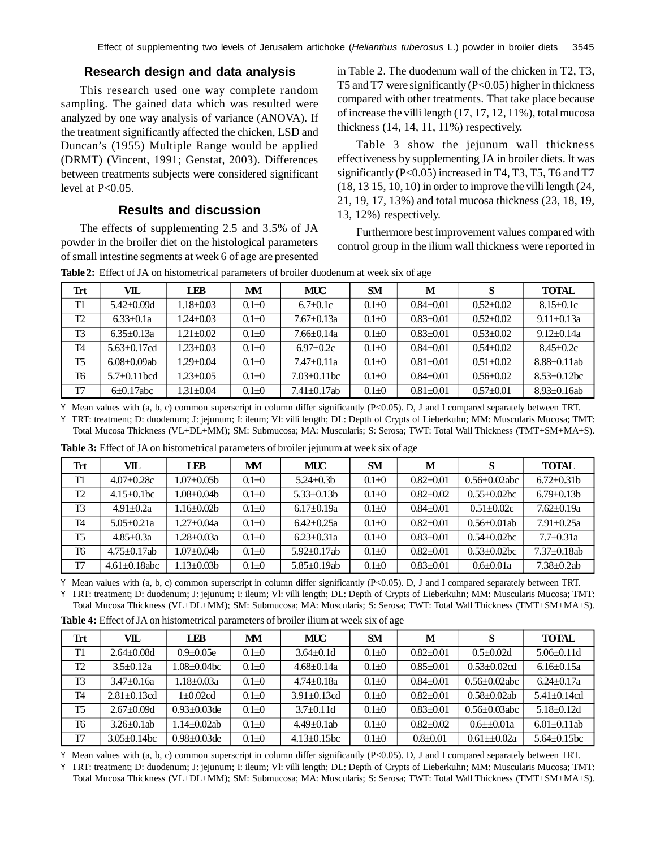# **Research design and data analysis**

This research used one way complete random sampling. The gained data which was resulted were analyzed by one way analysis of variance (ANOVA). If the treatment significantly affected the chicken, LSD and Duncan's (1955) Multiple Range would be applied (DRMT) (Vincent, 1991; Genstat, 2003). Differences between treatments subjects were considered significant level at P<0.05.

# **Results and discussion**

The effects of supplementing 2.5 and 3.5% of JA powder in the broiler diet on the histological parameters of small intestine segments at week 6 of age are presented in Table 2. The duodenum wall of the chicken in T2, T3, T5 and T7 were significantly (P<0.05) higher in thickness compared with other treatments. That take place because of increase the villi length (17, 17, 12, 11%), total mucosa thickness (14, 14, 11, 11%) respectively.

Table 3 show the jejunum wall thickness effectiveness by supplementing JA in broiler diets. It was significantly (P<0.05) increased in T4, T3, T5, T6 and T7 (18, 13 15, 10, 10) in order to improve the villi length (24, 21, 19, 17, 13%) and total mucosa thickness (23, 18, 19, 13, 12%) respectively.

Furthermore best improvement values compared with control group in the ilium wall thickness were reported in

| <b>Trt</b>     | VIL.               | <b>LEB</b>      | MM          | MUC                | <b>SM</b>   | М             | S             | <b>TOTAL</b>       |
|----------------|--------------------|-----------------|-------------|--------------------|-------------|---------------|---------------|--------------------|
| T1             | $5.42 \pm 0.09d$   | $1.18 \pm 0.03$ | $0.1 \pm 0$ | $6.7+0.1c$         | $0.1 \pm 0$ | $0.84 + 0.01$ | $0.52 + 0.02$ | $8.15 \pm 0.1c$    |
| T <sub>2</sub> | $6.33 \pm 0.1a$    | $1.24 \pm 0.03$ | $0.1 \pm 0$ | $7.67+0.13a$       | $0.1 \pm 0$ | $0.83 + 0.01$ | $0.52 + 0.02$ | $9.11 \pm 0.13a$   |
| T <sub>3</sub> | $6.35 \pm 0.13a$   | $1.21 \pm 0.02$ | $0.1 \pm 0$ | $7.66 \pm 0.14a$   | $0.1 \pm 0$ | $0.83 + 0.01$ | $0.53 + 0.02$ | $9.12 \pm 0.14a$   |
| <b>T4</b>      | $5.63 \pm 0.17$ cd | $1.23 \pm 0.03$ | $0.1 \pm 0$ | $6.97 \pm 0.2c$    | $0.1 \pm 0$ | $0.84 + 0.01$ | $0.54 + 0.02$ | $8.45 \pm 0.2c$    |
| <b>T5</b>      | $6.08 \pm 0.09$ ab | $1.29 \pm 0.04$ | $0.1 + 0$   | $7.47 + 0.11a$     | $0.1 \pm 0$ | $0.81 + 0.01$ | $0.51 + 0.02$ | $8.88 \pm 0.11$ ab |
| T6             | $5.7\pm0.11$ hcd   | $1.23 \pm 0.05$ | $0.1 \pm 0$ | $7.03 \pm 0.11$ bc | $0.1 \pm 0$ | $0.84 + 0.01$ | $0.56 + 0.02$ | $8.53 \pm 0.12$ bc |
| T7             | $6\pm 0.17$ abc    | $1.31 \pm 0.04$ | $0.1 \pm 0$ | $7.41 \pm 0.17$ ab | $0.1 \pm 0$ | $0.81 + 0.01$ | $0.57+0.01$   | $8.93 \pm 0.16$ ab |

**Table 2:** Effect of JA on histometrical parameters of broiler duodenum at week six of age

Y Mean values with (a, b, c) common superscript in column differ significantly (P<0.05). D, J and I compared separately between TRT. Y TRT: treatment; D: duodenum; J: jejunum; I: ileum; Vl: villi length; DL: Depth of Crypts of Lieberkuhn; MM: Muscularis Mucosa; TMT:

Total Mucosa Thickness (VL+DL+MM); SM: Submucosa; MA: Muscularis; S: Serosa; TWT: Total Wall Thickness (TMT+SM+MA+S).

| Trt       | VIL.                | <b>LEB</b>        | MM          | MUC                | SM          | M             | S                   | <b>TOTAL</b>       |
|-----------|---------------------|-------------------|-------------|--------------------|-------------|---------------|---------------------|--------------------|
| T1        | $4.07 \pm 0.28c$    | $1.07 \pm 0.05$ b | $0.1 \pm 0$ | $5.24 \pm 0.3$ b   | $0.1 \pm 0$ | $0.82 + 0.01$ | $0.56 \pm 0.02$ abc | $6.72+0.31b$       |
| T2        | $4.15 \pm 0.1$ bc   | $1.08 + 0.04h$    | $0.1 \pm 0$ | $5.33 \pm 0.13$ b  | $0.1 \pm 0$ | $0.82 + 0.02$ | $0.55 + 0.02$ bc    | $6.79 \pm 0.13$ b  |
| T3        | $4.91 + 0.2a$       | $.16\pm0.02b$     | $0.1 \pm 0$ | $6.17+0.19a$       | $0.1 \pm 0$ | $0.84 + 0.01$ | $0.51 \pm 0.02c$    | $7.62+0.19a$       |
| <b>T4</b> | $5.05 \pm 0.21a$    | l 27+0.04a        | $0.1 \pm 0$ | $6.42 + 0.25a$     | $0.1 \pm 0$ | $0.82 + 0.01$ | $0.56 \pm 0.01$ ab  | $7.91 \pm 0.25a$   |
| <b>T5</b> | $4.85 + 0.3a$       | $.28 \pm 0.03a$   | $0.1 + 0$   | $6.23 \pm 0.31a$   | $0.1 \pm 0$ | $0.83 + 0.01$ | $0.54 \pm 0.02$ bc  | $7.7 + 0.31a$      |
| T6        | $4.75 \pm 0.17$ ab  | $1.07 + 0.04h$    | $0.1 \pm 0$ | $5.92 + 0.17$ ab   | $0.1 \pm 0$ | $0.82 + 0.01$ | $0.53 \pm 0.02$ bc  | $7.37 \pm 0.18$ ab |
| T7        | $4.61 \pm 0.18$ abc | $.13 \pm 0.03$ b  | $0.1 \pm 0$ | $5.85 \pm 0.19$ ab | $0.1 \pm 0$ | $0.83 + 0.01$ | $0.6 + 0.01a$       | $7.38 + 0.2ab$     |

**Table 3:** Effect of JA on histometrical parameters of broiler jejunum at week six of age

Y Mean values with (a, b, c) common superscript in column differ significantly (P<0.05). D, J and I compared separately between TRT. Y TRT: treatment; D: duodenum; J: jejunum; I: ileum; Vl: villi length; DL: Depth of Crypts of Lieberkuhn; MM: Muscularis Mucosa; TMT:

Total Mucosa Thickness (VL+DL+MM); SM: Submucosa; MA: Muscularis; S: Serosa; TWT: Total Wall Thickness (TMT+SM+MA+S).

| Trt            | VIL.               | <b>LEB</b>         | MM          | MUC                | <b>SM</b>   | M             | S                   | <b>TOTAL</b>                |
|----------------|--------------------|--------------------|-------------|--------------------|-------------|---------------|---------------------|-----------------------------|
| T1             | $2.64 + 0.08d$     | $0.9 \pm 0.05e$    | $0.1 \pm 0$ | $3.64 + 0.1d$      | $0.1 \pm 0$ | $0.82 + 0.01$ | $0.5 \pm 0.02d$     | $5.06\pm0.11d$              |
| T <sub>2</sub> | $3.5 + 0.12a$      | $.08 \pm 0.04$ bc  | $0.1 + 0$   | $4.68 + 0.14a$     | $0.1 + 0$   | $0.85 + 0.01$ | $0.53 + 0.02$ cd    | $6.16 \pm 0.15a$            |
| T <sub>3</sub> | $3.47 + 0.16a$     | l.18±0.03a         | $0.1 + 0$   | $4.74 + 0.18a$     | $0.1 \pm 0$ | $0.84 + 0.01$ | $0.56 \pm 0.02$ abc | $6.24 + 0.17a$              |
| <b>T4</b>      | $2.81 \pm 0.13$ cd | $1 + 0.02c d$      | $0.1 + 0$   | $3.91 \pm 0.13$ cd | $0.1 \pm 0$ | $0.82 + 0.01$ | $0.58 + 0.02$ ab    | $5.41 + 0.14$ cd            |
| T <sub>5</sub> | $2.67 \pm 0.09d$   | $0.93 + 0.03$ de   | $0.1 + 0$   | $3.7 + 0.11d$      | $0.1 \pm 0$ | $0.83 + 0.01$ | $0.56 \pm 0.03$ abc | $5.18 \pm 0.12d$            |
| T <sub>6</sub> | $3.26 \pm 0.1$ ab  | $1.14 + 0.02$ ab   | $0.1 + 0$   | $4.49 + 0.1ab$     | $0.1 + 0$   | $0.82 + 0.02$ | $0.6 + 0.01a$       | $6.01 + 0.11$ ab            |
| T7             | $3.05 \pm 0.14$ bc | $0.98 \pm 0.03$ de | $0.1 + 0$   | $4.13 \pm 0.15$ bc | $0.1 + 0$   | $0.8 + 0.01$  | $0.61 + 0.02a$      | $5.64 + 0.15$ <sub>bc</sub> |

**Table 4:** Effect of JA on histometrical parameters of broiler ilium at week six of age

Y Mean values with (a, b, c) common superscript in column differ significantly (P<0.05). D, J and I compared separately between TRT.

Y TRT: treatment; D: duodenum; J: jejunum; I: ileum; Vl: villi length; DL: Depth of Crypts of Lieberkuhn; MM: Muscularis Mucosa; TMT: Total Mucosa Thickness (VL+DL+MM); SM: Submucosa; MA: Muscularis; S: Serosa; TWT: Total Wall Thickness (TMT+SM+MA+S).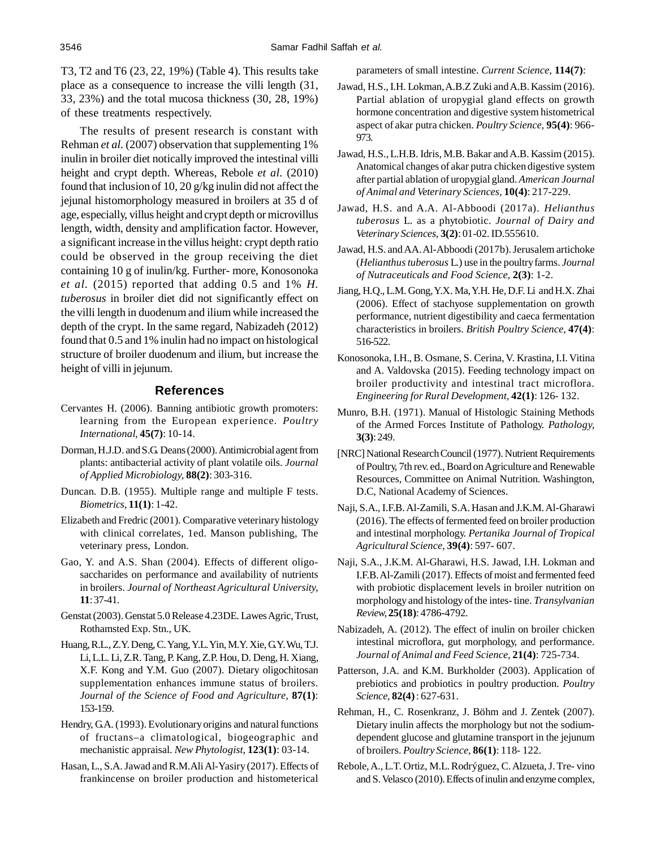T3, T2 and T6 (23, 22, 19%) (Table 4). This results take place as a consequence to increase the villi length (31, 33, 23%) and the total mucosa thickness (30, 28, 19%) of these treatments respectively.

The results of present research is constant with Rehman *et al.* (2007) observation that supplementing 1% inulin in broiler diet notically improved the intestinal villi height and crypt depth. Whereas, Rebole *et al.* (2010) found that inclusion of 10, 20 g/kg inulin did not affect the jejunal histomorphology measured in broilers at 35 d of age, especially, villus height and crypt depth or microvillus length, width, density and amplification factor. However, a significant increase in the villus height: crypt depth ratio could be observed in the group receiving the diet containing 10 g of inulin/kg. Further- more, Konosonoka *et al.* (2015) reported that adding 0.5 and 1% *H. tuberosus* in broiler diet did not significantly effect on the villi length in duodenum and ilium while increased the depth of the crypt. In the same regard, Nabizadeh (2012) found that 0.5 and 1% inulin had no impact on histological structure of broiler duodenum and ilium, but increase the height of villi in jejunum.

### **References**

- Cervantes H. (2006). Banning antibiotic growth promoters: learning from the European experience. *Poultry International,* **45(7)**: 10-14.
- Dorman, H.J.D. and S.G. Deans (2000). Antimicrobial agent from plants: antibacterial activity of plant volatile oils. *Journal of Applied Microbiology,* **88(2)**: 303-316.
- Duncan. D.B. (1955). Multiple range and multiple F tests. *Biometrics,* **11(1)**: 1-42.
- Elizabeth and Fredric (2001). Comparative veterinary histology with clinical correlates, 1ed. Manson publishing, The veterinary press, London.
- Gao, Y. and A.S. Shan (2004). Effects of different oligosaccharides on performance and availability of nutrients in broilers. *Journal of Northeast Agricultural University,* **11**: 37-41.
- Genstat (2003). Genstat 5.0 Release 4.23DE. Lawes Agric, Trust, Rothamsted Exp. Stn., UK.
- Huang, R.L., Z.Y. Deng, C. Yang, Y.L. Yin, M.Y. Xie, G.Y. Wu, T.J. Li, L.L. Li, Z.R. Tang, P. Kang, Z.P. Hou, D. Deng, H. Xiang, X.F. Kong and Y.M. Guo (2007). Dietary oligochitosan supplementation enhances immune status of broilers. *Journal of the Science of Food and Agriculture,* **87(1)**: 153-159.
- Hendry, G.A. (1993). Evolutionary origins and natural functions of fructans–a climatological, biogeographic and mechanistic appraisal. *New Phytologist,* **123(1)**: 03-14.
- Hasan, L., S.A. Jawad and R.M.Ali Al-Yasiry (2017). Effects of frankincense on broiler production and histometerical

parameters of small intestine. *Current Science,* **114(7)**:

- Jawad, H.S., I.H. Lokman, A.B.Z Zuki and A.B. Kassim (2016). Partial ablation of uropygial gland effects on growth hormone concentration and digestive system histometrical aspect of akar putra chicken. *Poultry Science,* **95(4)**: 966- 973.
- Jawad, H.S., L.H.B. Idris, M.B. Bakar and A.B. Kassim (2015). Anatomical changes of akar putra chicken digestive system after partial ablation of uropygial gland. *American Journal of Animal and Veterinary Sciences,* **10(4)**: 217-229.
- Jawad, H.S. and A.A. Al-Abboodi (2017a). *Helianthus tuberosus* L. as a phytobiotic. *Journal of Dairy and Veterinary Sciences,* **3(2)**: 01-02. ID.555610.
- Jawad, H.S. and AA. Al-Abboodi (2017b). Jerusalem artichoke (*Helianthus tuberosus* L.) use in the poultry farms. *Journal of Nutraceuticals and Food Science,* **2(3)**: 1-2.
- Jiang, H.Q., L.M. Gong, Y.X. Ma, Y.H. He, D.F. Li and H.X. Zhai (2006). Effect of stachyose supplementation on growth performance, nutrient digestibility and caeca fermentation characteristics in broilers. *British Poultry Science,* **47(4)**: 516-522.
- Konosonoka, I.H., B. Osmane, S. Cerina, V. Krastina, I.I. Vitina and A. Valdovska (2015). Feeding technology impact on broiler productivity and intestinal tract microflora. *Engineering for Rural Development,* **42(1)**: 126- 132.
- Munro, B.H. (1971). Manual of Histologic Staining Methods of the Armed Forces Institute of Pathology. *Pathology,* **3(3)**: 249.
- [NRC] National Research Council (1977). Nutrient Requirements of Poultry, 7th rev. ed., Board on Agriculture and Renewable Resources, Committee on Animal Nutrition. Washington, D.C, National Academy of Sciences.
- Naji, S.A., I.F.B. Al-Zamili, S.A. Hasan and J.K.M. Al-Gharawi (2016). The effects of fermented feed on broiler production and intestinal morphology. *Pertanika Journal of Tropical Agricultural Science,* **39(4)**: 597- 607.
- Naji, S.A., J.K.M. Al-Gharawi, H.S. Jawad, I.H. Lokman and I.F.B. Al-Zamili (2017). Effects of moist and fermented feed with probiotic displacement levels in broiler nutrition on morphology and histology of the intes- tine. *Transylvanian Review,* **25(18)**: 4786-4792.
- Nabizadeh, A. (2012). The effect of inulin on broiler chicken intestinal microflora, gut morphology, and performance. *Journal of Animal and Feed Science,* **21(4)**: 725-734.
- Patterson, J.A. and K.M. Burkholder (2003). Application of prebiotics and probiotics in poultry production. *Poultry Science,* **82(4)** : 627-631.
- Rehman, H., C. Rosenkranz, J. Böhm and J. Zentek (2007). Dietary inulin affects the morphology but not the sodiumdependent glucose and glutamine transport in the jejunum of broilers. *Poultry Science,* **86(1)**: 118- 122.
- Rebole, A., L.T. Ortiz, M.L. Rodrýguez, C. Alzueta, J. Tre- vino and S. Velasco (2010). Effects of inulin and enzyme complex,